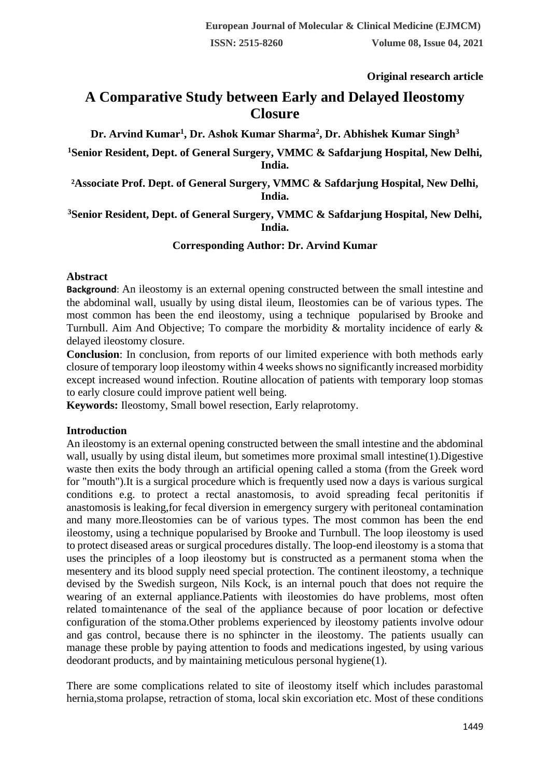**Original research article** 

# **A Comparative Study between Early and Delayed Ileostomy Closure**

**Dr. Arvind Kumar<sup>1</sup> , Dr. Ashok Kumar Sharma<sup>2</sup> , Dr. Abhishek Kumar Singh<sup>3</sup>**

**<sup>1</sup>Senior Resident, Dept. of General Surgery, VMMC & Safdarjung Hospital, New Delhi, India.**

**²Associate Prof. Dept. of General Surgery, VMMC & Safdarjung Hospital, New Delhi, India.**

#### **<sup>3</sup>Senior Resident, Dept. of General Surgery, VMMC & Safdarjung Hospital, New Delhi, India.**

## **Corresponding Author: Dr. Arvind Kumar**

#### **Abstract**

**Background**: An ileostomy is an external opening constructed between the small intestine and the abdominal wall, usually by using distal ileum, Ileostomies can be of various types. The most common has been the end ileostomy, using a technique popularised by Brooke and Turnbull. Aim And Objective; To compare the morbidity & mortality incidence of early & delayed ileostomy closure.

**Conclusion**: In conclusion, from reports of our limited experience with both methods early closure of temporary loop ileostomy within 4 weeks shows no significantly increased morbidity except increased wound infection. Routine allocation of patients with temporary loop stomas to early closure could improve patient well being.

**Keywords:** Ileostomy, Small bowel resection, Early relaprotomy.

## **Introduction**

An ileostomy is an external opening constructed between the small intestine and the abdominal wall, usually by using distal ileum, but sometimes more proximal small intestine(1). Digestive waste then exits the body through an artificial opening called a stoma (from the Greek word for "mouth").It is a surgical procedure which is frequently used now a days is various surgical conditions e.g. to protect a rectal anastomosis, to avoid spreading fecal peritonitis if anastomosis is leaking,for fecal diversion in emergency surgery with peritoneal contamination and many more.Ileostomies can be of various types. The most common has been the end ileostomy, using a technique popularised by Brooke and Turnbull. The loop ileostomy is used to protect diseased areas or surgical procedures distally. The loop-end ileostomy is a stoma that uses the principles of a loop ileostomy but is constructed as a permanent stoma when the mesentery and its blood supply need special protection. The continent ileostomy, a technique devised by the Swedish surgeon, Nils Kock, is an internal pouch that does not require the wearing of an external appliance.Patients with ileostomies do have problems, most often related tomaintenance of the seal of the appliance because of poor location or defective configuration of the stoma.Other problems experienced by ileostomy patients involve odour and gas control, because there is no sphincter in the ileostomy. The patients usually can manage these proble by paying attention to foods and medications ingested, by using various deodorant products, and by maintaining meticulous personal hygiene(1).

There are some complications related to site of ileostomy itself which includes parastomal hernia,stoma prolapse, retraction of stoma, local skin excoriation etc. Most of these conditions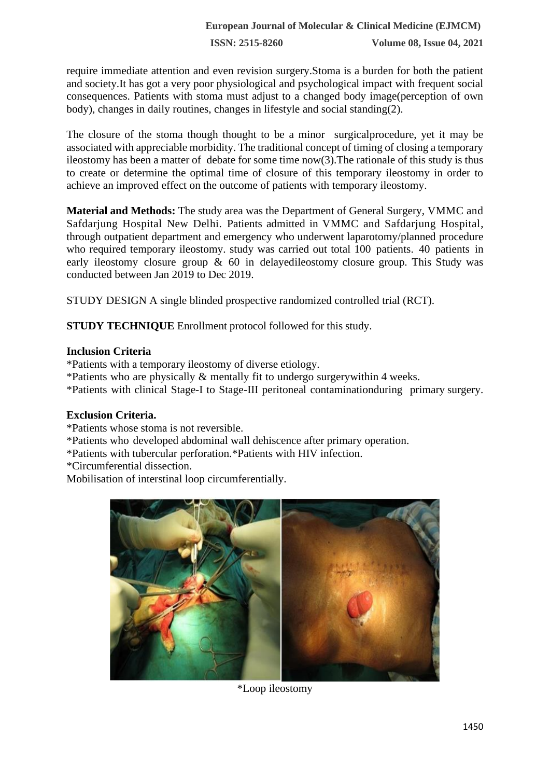**ISSN: 2515-8260 Volume 08, Issue 04, 2021**

require immediate attention and even revision surgery.Stoma is a burden for both the patient and society.It has got a very poor physiological and psychological impact with frequent social consequences. Patients with stoma must adjust to a changed body image(perception of own body), changes in daily routines, changes in lifestyle and social standing(2).

The closure of the stoma though thought to be a minor surgicalprocedure, yet it may be associated with appreciable morbidity. The traditional concept of timing of closing a temporary ileostomy has been a matter of debate for some time now(3).The rationale of this study is thus to create or determine the optimal time of closure of this temporary ileostomy in order to achieve an improved effect on the outcome of patients with temporary ileostomy.

**Material and Methods:** The study area was the Department of General Surgery, VMMC and Safdarjung Hospital New Delhi. Patients admitted in VMMC and Safdarjung Hospital, through outpatient department and emergency who underwent laparotomy/planned procedure who required temporary ileostomy. study was carried out total 100 patients. 40 patients in early ileostomy closure group & 60 in delayedileostomy closure group. This Study was conducted between Jan 2019 to Dec 2019.

STUDY DESIGN A single blinded prospective randomized controlled trial (RCT).

**STUDY TECHNIQUE** Enrollment protocol followed for this study.

## **Inclusion Criteria**

\*Patients with a temporary ileostomy of diverse etiology.

- \*Patients who are physically & mentally fit to undergo surgerywithin 4 weeks.
- \*Patients with clinical Stage-I to Stage-III peritoneal contaminationduring primary surgery.

## **Exclusion Criteria.**

- \*Patients whose stoma is not reversible.
- \*Patients who developed abdominal wall dehiscence after primary operation.
- \*Patients with tubercular perforation.\*Patients with HIV infection.
- \*Circumferential dissection.

Mobilisation of interstinal loop circumferentially.



\*Loop ileostomy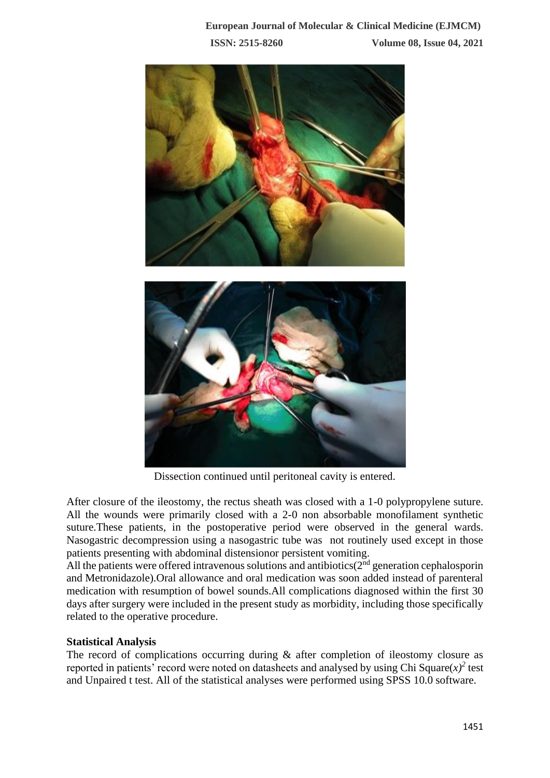

Dissection continued until peritoneal cavity is entered.

After closure of the ileostomy, the rectus sheath was closed with a 1-0 polypropylene suture. All the wounds were primarily closed with a 2-0 non absorbable monofilament synthetic suture.These patients, in the postoperative period were observed in the general wards. Nasogastric decompression using a nasogastric tube was not routinely used except in those patients presenting with abdominal distensionor persistent vomiting.

All the patients were offered intravenous solutions and antibiotics( $2<sup>nd</sup>$  generation cephalosporin and Metronidazole).Oral allowance and oral medication was soon added instead of parenteral medication with resumption of bowel sounds.All complications diagnosed within the first 30 days after surgery were included in the present study as morbidity, including those specifically related to the operative procedure.

## **Statistical Analysis**

The record of complications occurring during & after completion of ileostomy closure as reported in patients' record were noted on datasheets and analysed by using Chi Square $(x)^2$  test and Unpaired t test. All of the statistical analyses were performed using SPSS 10.0 software.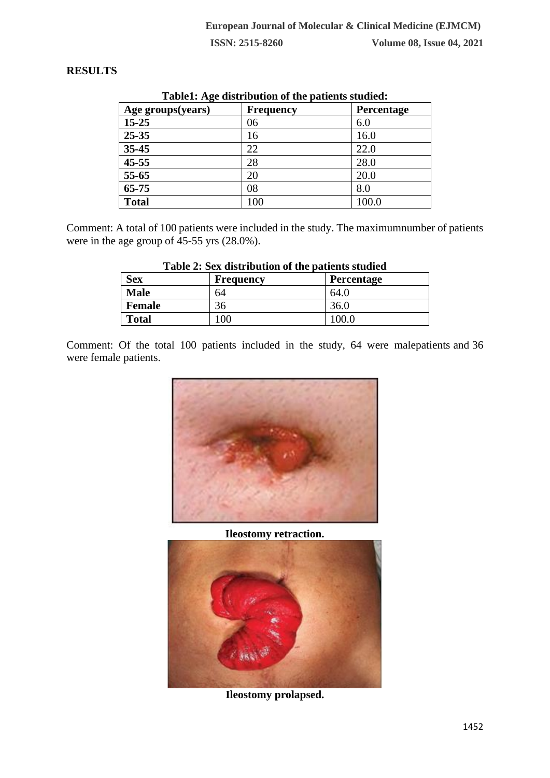## **RESULTS**

| TableT. Age distribution of the patients studied. |                  |                   |
|---------------------------------------------------|------------------|-------------------|
| Age groups(years)                                 | <b>Frequency</b> | <b>Percentage</b> |
| $15 - 25$                                         | 06               | 6.0               |
| $25 - 35$                                         | 16               | 16.0              |
| $35 - 45$                                         | 22               | 22.0              |
| $45 - 55$                                         | 28               | 28.0              |
| $55 - 65$                                         | 20               | 20.0              |
| $65 - 75$                                         | 08               | 8.0               |
| <b>Total</b>                                      | 100              | 100.0             |

#### **Table1: Age distribution of the patients studied:**

Comment: A total of 100 patients were included in the study. The maximumnumber of patients were in the age group of 45-55 yrs (28.0%).

| <b>Sex</b>    | <b>Frequency</b> | Percentage |
|---------------|------------------|------------|
| <b>Male</b>   | 54               | 64.(       |
| <b>Female</b> | 30               | 36.0       |
| <b>Total</b>  |                  |            |

#### **Table 2: Sex distribution of the patients studied**

Comment: Of the total 100 patients included in the study, 64 were malepatients and 36 were female patients.



# **Ileostomy retraction.**



**Ileostomy prolapsed.**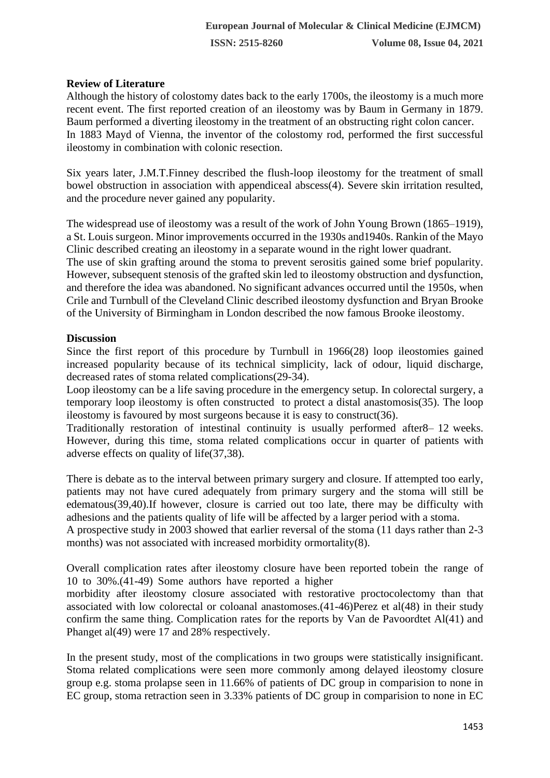# **Review of Literature**

Although the history of colostomy dates back to the early 1700s, the ileostomy is a much more recent event. The first reported creation of an ileostomy was by Baum in Germany in 1879. Baum performed a diverting ileostomy in the treatment of an obstructing right colon cancer. In 1883 Mayd of Vienna, the inventor of the colostomy rod, performed the first successful ileostomy in combination with colonic resection.

Six years later, J.M.T.Finney described the flush-loop ileostomy for the treatment of small bowel obstruction in association with appendiceal abscess(4). Severe skin irritation resulted, and the procedure never gained any popularity.

The widespread use of ileostomy was a result of the work of John Young Brown (1865–1919), a St. Louis surgeon. Minor improvements occurred in the 1930s and1940s. Rankin of the Mayo Clinic described creating an ileostomy in a separate wound in the right lower quadrant.

The use of skin grafting around the stoma to prevent serositis gained some brief popularity. However, subsequent stenosis of the grafted skin led to ileostomy obstruction and dysfunction, and therefore the idea was abandoned. No significant advances occurred until the 1950s, when Crile and Turnbull of the Cleveland Clinic described ileostomy dysfunction and Bryan Brooke of the University of Birmingham in London described the now famous Brooke ileostomy.

## **Discussion**

Since the first report of this procedure by Turnbull in 1966(28) loop ileostomies gained increased popularity because of its technical simplicity, lack of odour, liquid discharge, decreased rates of stoma related complications(29-34).

Loop ileostomy can be a life saving procedure in the emergency setup. In colorectal surgery, a temporary loop ileostomy is often constructed to protect a distal anastomosis(35). The loop ileostomy is favoured by most surgeons because it is easy to construct(36).

Traditionally restoration of intestinal continuity is usually performed after8– 12 weeks. However, during this time, stoma related complications occur in quarter of patients with adverse effects on quality of life(37,38).

There is debate as to the interval between primary surgery and closure. If attempted too early, patients may not have cured adequately from primary surgery and the stoma will still be edematous(39,40).If however, closure is carried out too late, there may be difficulty with adhesions and the patients quality of life will be affected by a larger period with a stoma.

A prospective study in 2003 showed that earlier reversal of the stoma (11 days rather than 2-3 months) was not associated with increased morbidity ormortality(8).

Overall complication rates after ileostomy closure have been reported tobein the range of 10 to 30%.(41-49) Some authors have reported a higher

morbidity after ileostomy closure associated with restorative proctocolectomy than that associated with low colorectal or coloanal anastomoses.(41-46)Perez et al(48) in their study confirm the same thing. Complication rates for the reports by Van de Pavoordtet Al(41) and Phanget al(49) were 17 and 28% respectively.

In the present study, most of the complications in two groups were statistically insignificant. Stoma related complications were seen more commonly among delayed ileostomy closure group e.g. stoma prolapse seen in 11.66% of patients of DC group in comparision to none in EC group, stoma retraction seen in 3.33% patients of DC group in comparision to none in EC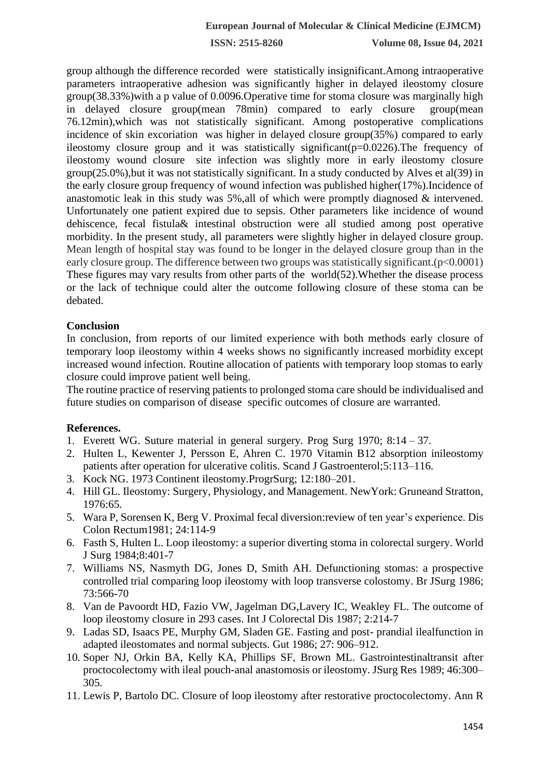**ISSN: 2515-8260 Volume 08, Issue 04, 2021**

group although the difference recorded were statistically insignificant.Among intraoperative parameters intraoperative adhesion was significantly higher in delayed ileostomy closure group(38.33%)with a p value of 0.0096.Operative time for stoma closure was marginally high in delayed closure group(mean 78min) compared to early closure group(mean 76.12min),which was not statistically significant. Among postoperative complications incidence of skin excoriation was higher in delayed closure group(35%) compared to early ileostomy closure group and it was statistically significant( $p=0.0226$ ). The frequency of ileostomy wound closure site infection was slightly more in early ileostomy closure group(25.0%),but it was not statistically significant. In a study conducted by Alves et al(39) in the early closure group frequency of wound infection was published higher(17%).Incidence of anastomotic leak in this study was 5%,all of which were promptly diagnosed & intervened. Unfortunately one patient expired due to sepsis. Other parameters like incidence of wound dehiscence, fecal fistula& intestinal obstruction were all studied among post operative morbidity. In the present study, all parameters were slightly higher in delayed closure group. Mean length of hospital stay was found to be longer in the delayed closure group than in the early closure group. The difference between two groups was statistically significant.( $p<0.0001$ ) These figures may vary results from other parts of the world(52).Whether the disease process or the lack of technique could alter the outcome following closure of these stoma can be debated.

#### **Conclusion**

In conclusion, from reports of our limited experience with both methods early closure of temporary loop ileostomy within 4 weeks shows no significantly increased morbidity except increased wound infection. Routine allocation of patients with temporary loop stomas to early closure could improve patient well being.

The routine practice of reserving patients to prolonged stoma care should be individualised and future studies on comparison of disease specific outcomes of closure are warranted.

#### **References.**

- 1. Everett WG. Suture material in general surgery. Prog Surg 1970; 8:14 37.
- 2. Hulten L, Kewenter J, Persson E, Ahren C. 1970 Vitamin B12 absorption inileostomy patients after operation for ulcerative colitis. Scand J Gastroenterol;5:113–116.
- 3. Kock NG. 1973 Continent ileostomy.ProgrSurg; 12:180–201.
- 4. Hill GL. Ileostomy: Surgery, Physiology, and Management. NewYork: Gruneand Stratton, 1976:65.
- 5. Wara P, Sorensen K, Berg V. Proximal fecal diversion:review of ten year's experience. Dis Colon Rectum1981; 24:114-9
- 6. Fasth S, Hulten L. Loop ileostomy: a superior diverting stoma in colorectal surgery. World J Surg 1984;8:401-7
- 7. Williams NS, Nasmyth DG, Jones D, Smith AH. Defunctioning stomas: a prospective controlled trial comparing loop ileostomy with loop transverse colostomy. Br JSurg 1986; 73:566-70
- 8. Van de Pavoordt HD, Fazio VW, Jagelman DG,Lavery IC, Weakley FL. The outcome of loop ileostomy closure in 293 cases. Int J Colorectal Dis 1987; 2:214-7
- 9. Ladas SD, Isaacs PE, Murphy GM, Sladen GE. Fasting and post- prandial ilealfunction in adapted ileostomates and normal subjects. Gut 1986; 27: 906–912.
- 10. Soper NJ, Orkin BA, Kelly KA, Phillips SF, Brown ML. Gastrointestinaltransit after proctocolectomy with ileal pouch-anal anastomosis or ileostomy. JSurg Res 1989; 46:300– 305.
- 11. Lewis P, Bartolo DC. Closure of loop ileostomy after restorative proctocolectomy. Ann R